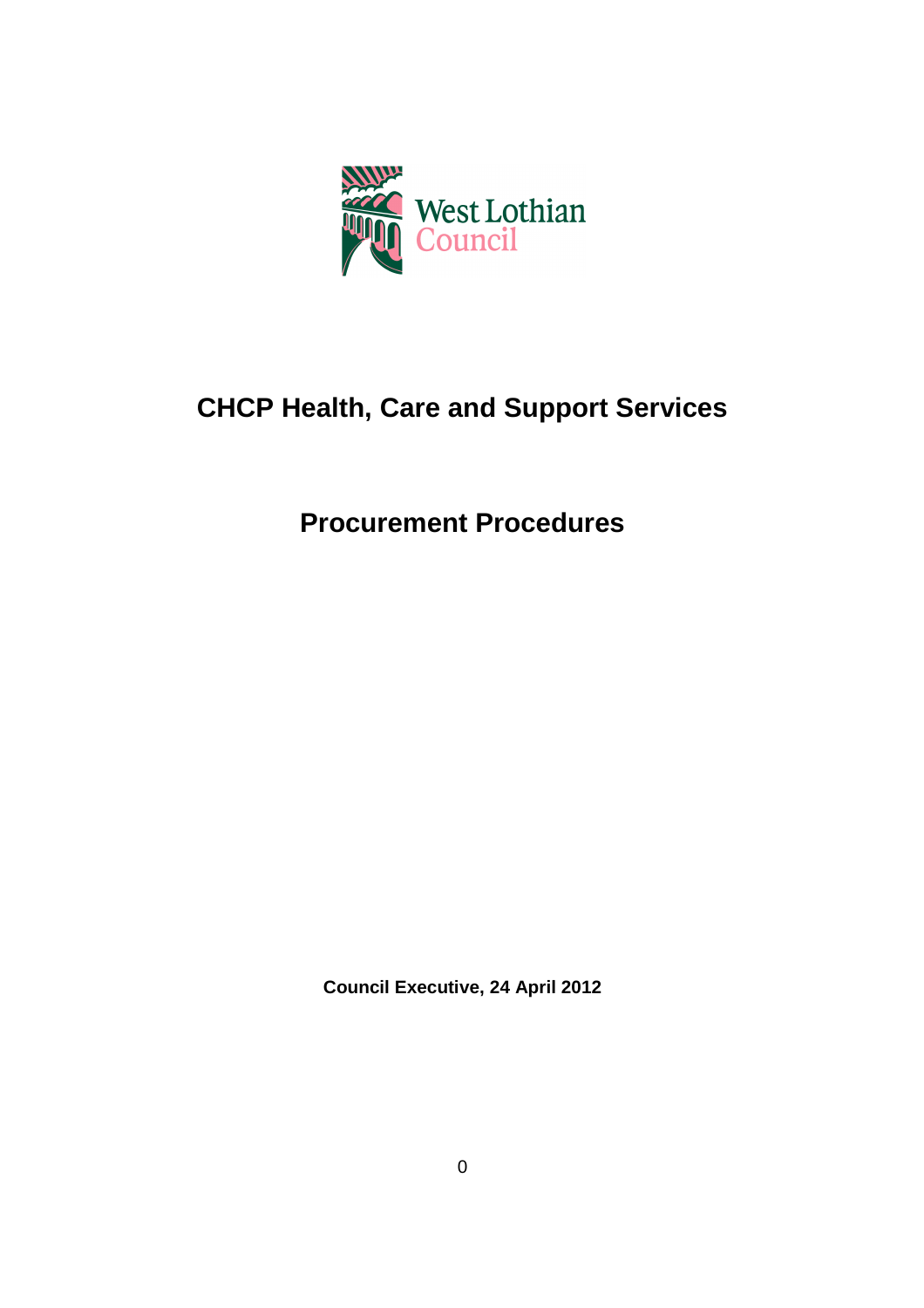

# **CHCP Health, Care and Support Services**

# **Procurement Procedures**

**Council Executive, 24 April 2012**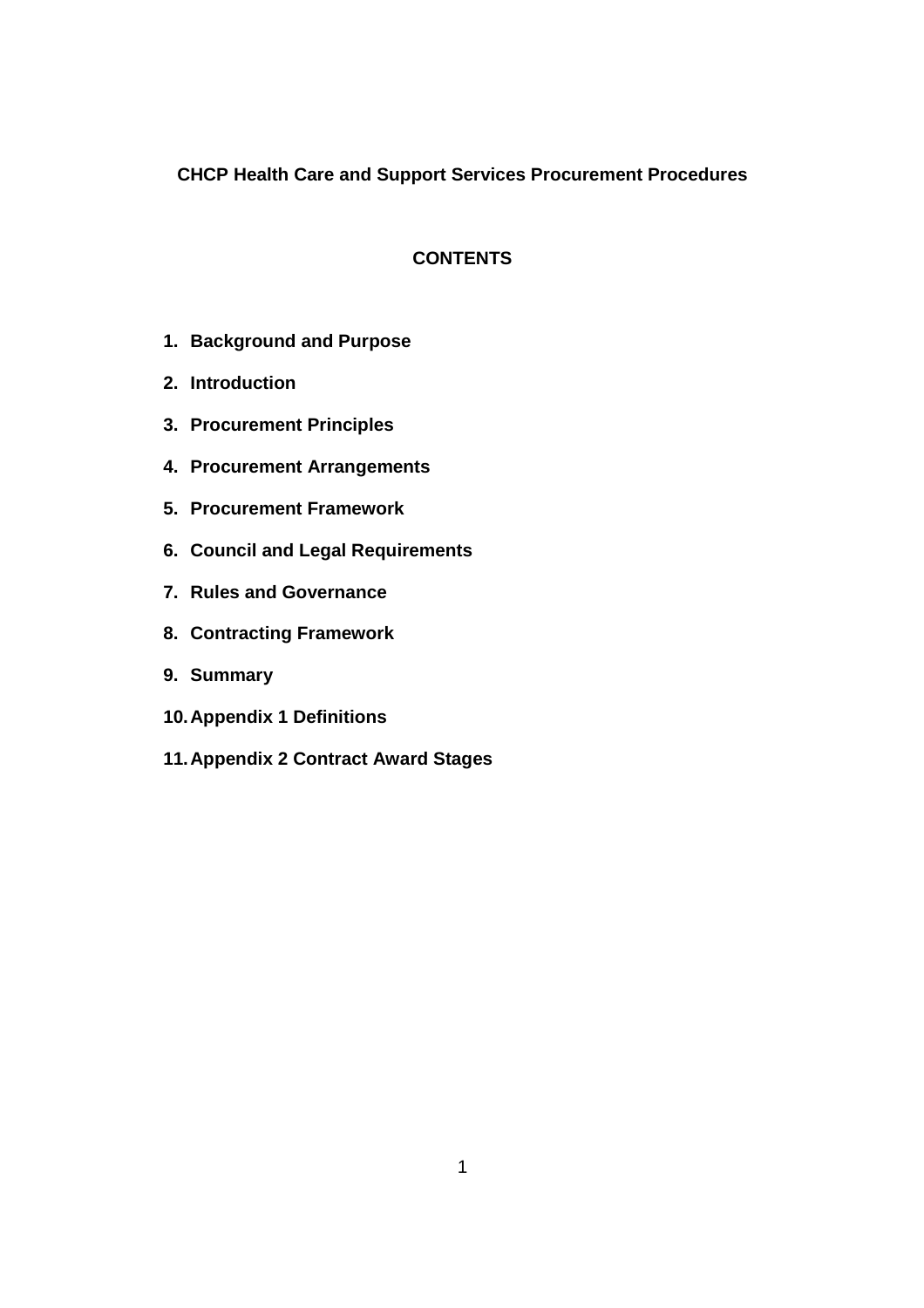# **CHCP Health Care and Support Services Procurement Procedures**

# **CONTENTS**

- **1. Background and Purpose**
- **2. Introduction**
- **3. Procurement Principles**
- **4. Procurement Arrangements**
- **5. Procurement Framework**
- **6. Council and Legal Requirements**
- **7. Rules and Governance**
- **8. Contracting Framework**
- **9. Summary**
- **10. Appendix 1 Definitions**
- **11. Appendix 2 Contract Award Stages**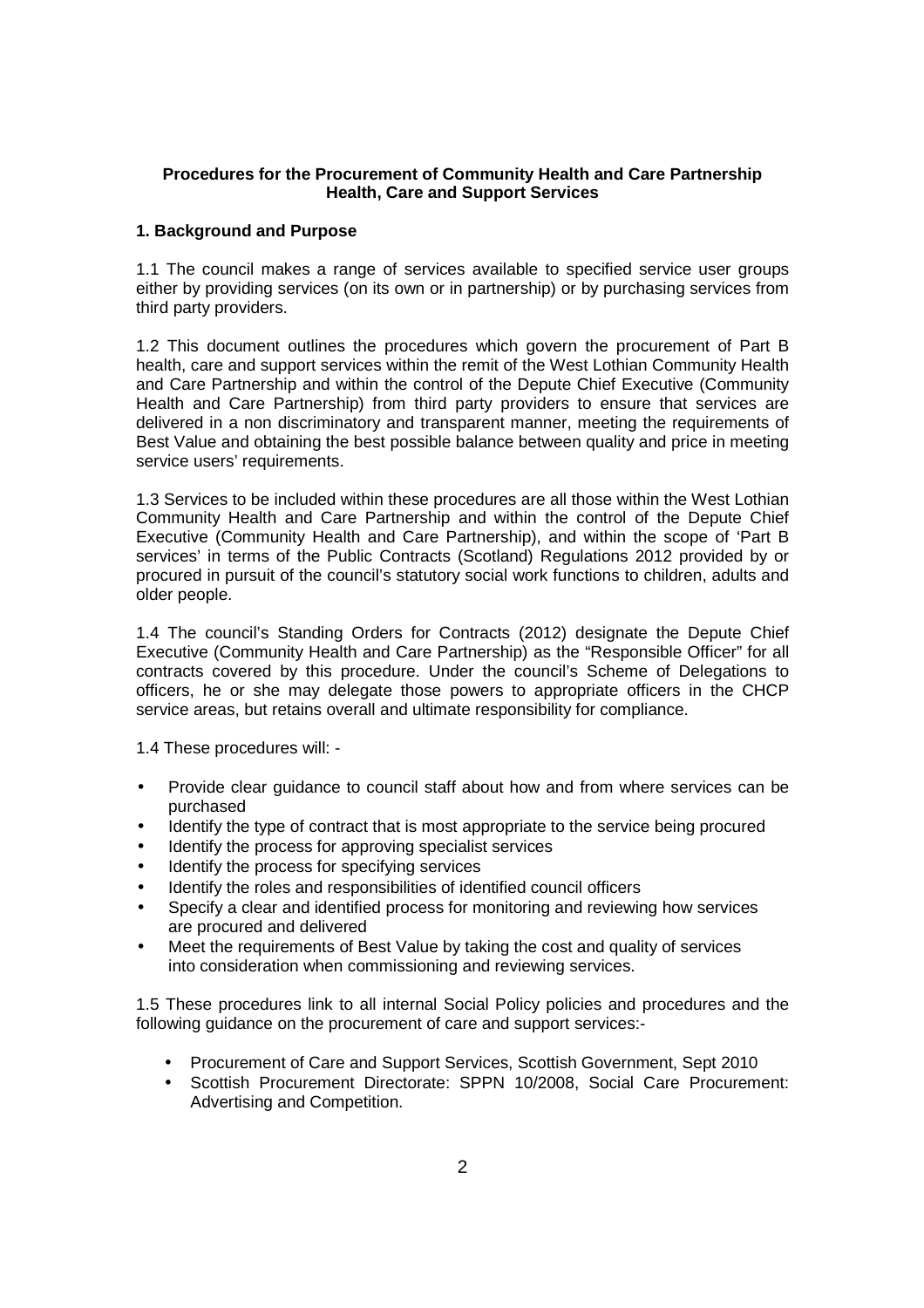#### **Procedures for the Procurement of Community Health and Care Partnership Health, Care and Support Services**

#### **1. Background and Purpose**

1.1 The council makes a range of services available to specified service user groups either by providing services (on its own or in partnership) or by purchasing services from third party providers.

1.2 This document outlines the procedures which govern the procurement of Part B health, care and support services within the remit of the West Lothian Community Health and Care Partnership and within the control of the Depute Chief Executive (Community Health and Care Partnership) from third party providers to ensure that services are delivered in a non discriminatory and transparent manner, meeting the requirements of Best Value and obtaining the best possible balance between quality and price in meeting service users' requirements.

1.3 Services to be included within these procedures are all those within the West Lothian Community Health and Care Partnership and within the control of the Depute Chief Executive (Community Health and Care Partnership), and within the scope of 'Part B services' in terms of the Public Contracts (Scotland) Regulations 2012 provided by or procured in pursuit of the council's statutory social work functions to children, adults and older people.

1.4 The council's Standing Orders for Contracts (2012) designate the Depute Chief Executive (Community Health and Care Partnership) as the "Responsible Officer" for all contracts covered by this procedure. Under the council's Scheme of Delegations to officers, he or she may delegate those powers to appropriate officers in the CHCP service areas, but retains overall and ultimate responsibility for compliance.

1.4 These procedures will: -

- Provide clear guidance to council staff about how and from where services can be purchased
- Identify the type of contract that is most appropriate to the service being procured
- Identify the process for approving specialist services
- Identify the process for specifying services
- Identify the roles and responsibilities of identified council officers
- Specify a clear and identified process for monitoring and reviewing how services are procured and delivered
- Meet the requirements of Best Value by taking the cost and quality of services into consideration when commissioning and reviewing services.

1.5 These procedures link to all internal Social Policy policies and procedures and the following guidance on the procurement of care and support services:-

- Procurement of Care and Support Services, Scottish Government, Sept 2010
- Scottish Procurement Directorate: SPPN 10/2008, Social Care Procurement: Advertising and Competition.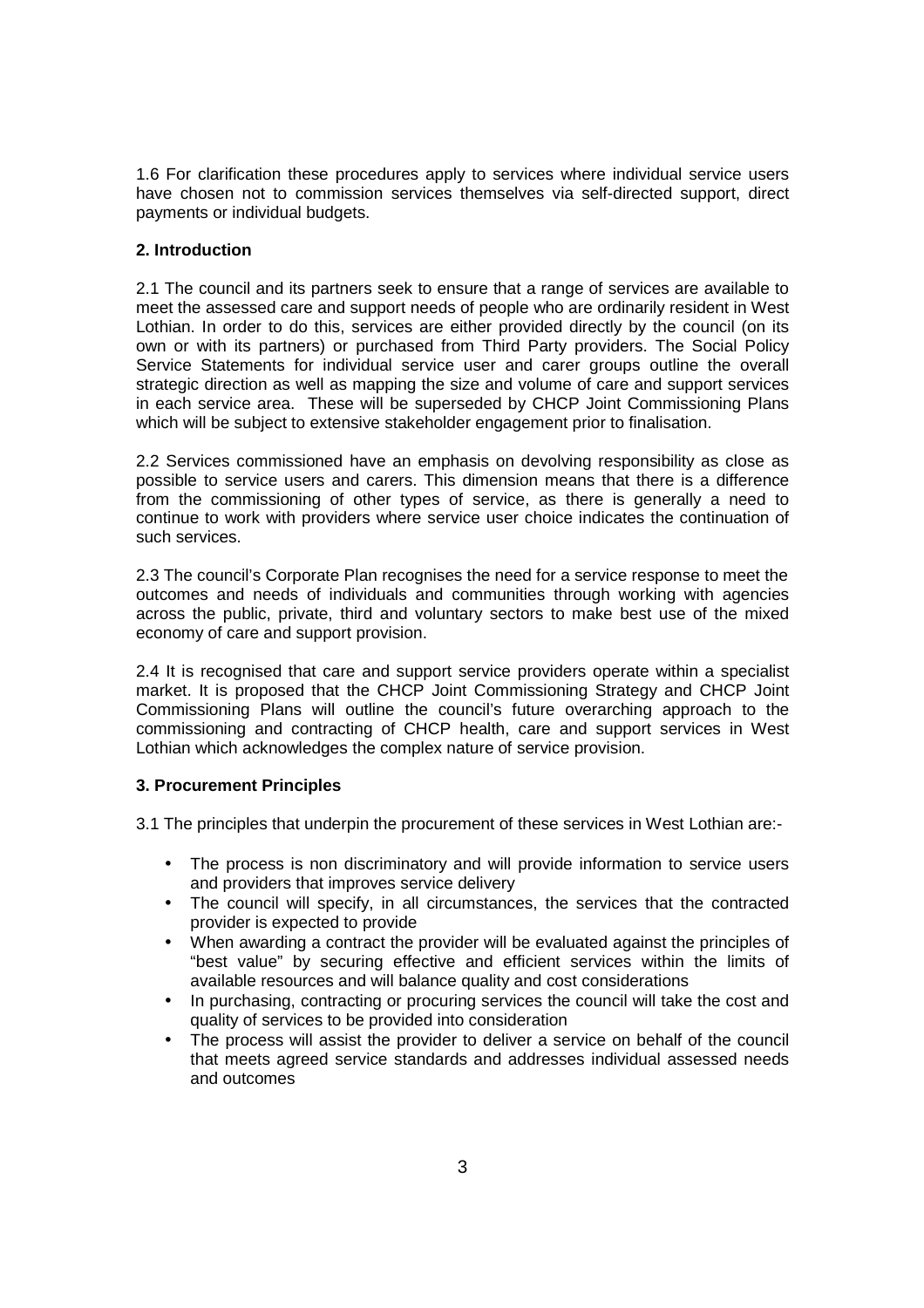1.6 For clarification these procedures apply to services where individual service users have chosen not to commission services themselves via self-directed support, direct payments or individual budgets.

### **2. Introduction**

2.1 The council and its partners seek to ensure that a range of services are available to meet the assessed care and support needs of people who are ordinarily resident in West Lothian. In order to do this, services are either provided directly by the council (on its own or with its partners) or purchased from Third Party providers. The Social Policy Service Statements for individual service user and carer groups outline the overall strategic direction as well as mapping the size and volume of care and support services in each service area. These will be superseded by CHCP Joint Commissioning Plans which will be subject to extensive stakeholder engagement prior to finalisation.

2.2 Services commissioned have an emphasis on devolving responsibility as close as possible to service users and carers. This dimension means that there is a difference from the commissioning of other types of service, as there is generally a need to continue to work with providers where service user choice indicates the continuation of such services.

2.3 The council's Corporate Plan recognises the need for a service response to meet the outcomes and needs of individuals and communities through working with agencies across the public, private, third and voluntary sectors to make best use of the mixed economy of care and support provision.

2.4 It is recognised that care and support service providers operate within a specialist market. It is proposed that the CHCP Joint Commissioning Strategy and CHCP Joint Commissioning Plans will outline the council's future overarching approach to the commissioning and contracting of CHCP health, care and support services in West Lothian which acknowledges the complex nature of service provision.

# **3. Procurement Principles**

3.1 The principles that underpin the procurement of these services in West Lothian are:-

- The process is non discriminatory and will provide information to service users and providers that improves service delivery
- The council will specify, in all circumstances, the services that the contracted provider is expected to provide
- When awarding a contract the provider will be evaluated against the principles of "best value" by securing effective and efficient services within the limits of available resources and will balance quality and cost considerations
- In purchasing, contracting or procuring services the council will take the cost and quality of services to be provided into consideration
- The process will assist the provider to deliver a service on behalf of the council that meets agreed service standards and addresses individual assessed needs and outcomes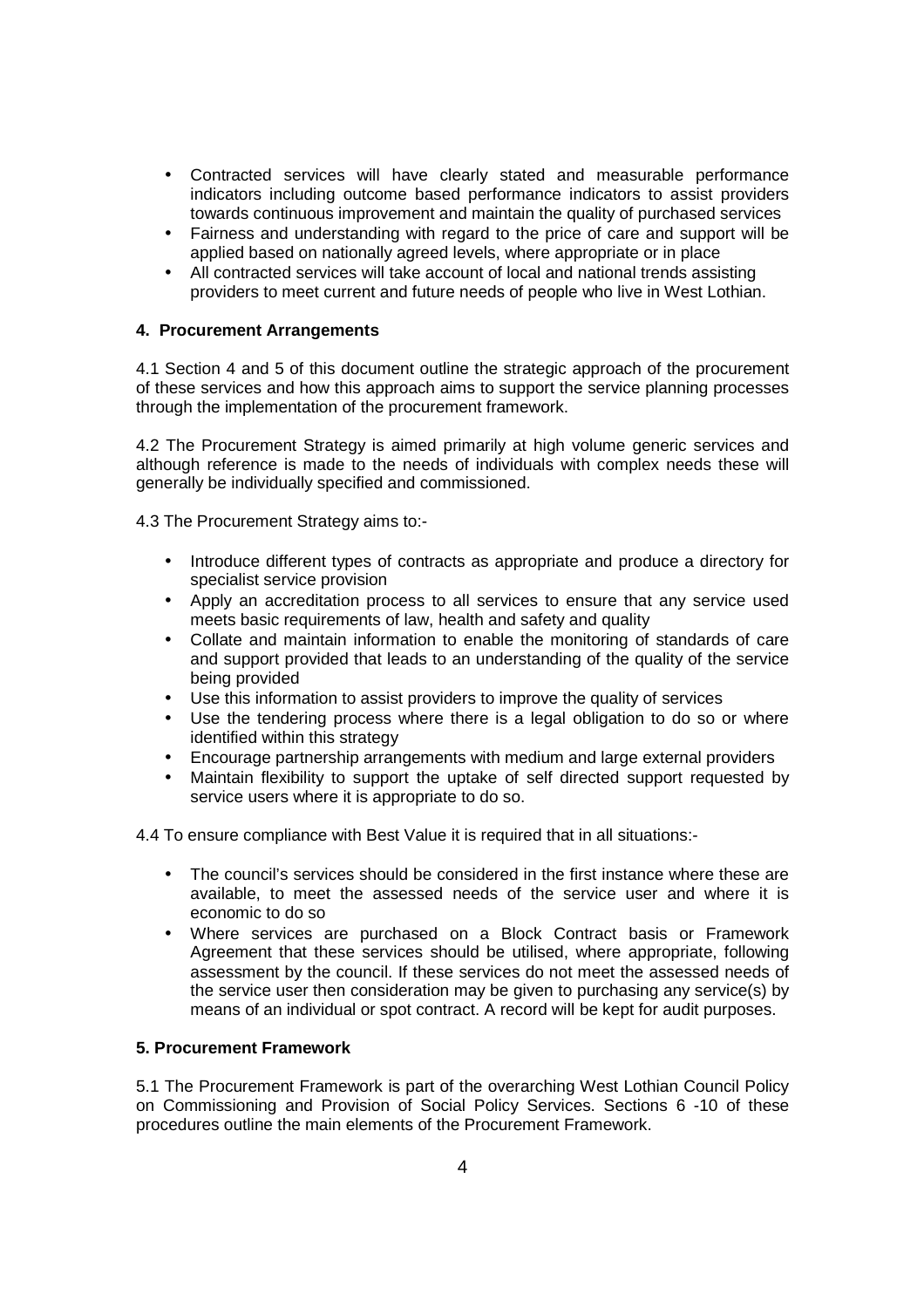- Contracted services will have clearly stated and measurable performance indicators including outcome based performance indicators to assist providers towards continuous improvement and maintain the quality of purchased services
- Fairness and understanding with regard to the price of care and support will be applied based on nationally agreed levels, where appropriate or in place
- All contracted services will take account of local and national trends assisting providers to meet current and future needs of people who live in West Lothian.

#### **4. Procurement Arrangements**

4.1 Section 4 and 5 of this document outline the strategic approach of the procurement of these services and how this approach aims to support the service planning processes through the implementation of the procurement framework.

4.2 The Procurement Strategy is aimed primarily at high volume generic services and although reference is made to the needs of individuals with complex needs these will generally be individually specified and commissioned.

4.3 The Procurement Strategy aims to:-

- Introduce different types of contracts as appropriate and produce a directory for specialist service provision
- Apply an accreditation process to all services to ensure that any service used meets basic requirements of law, health and safety and quality
- Collate and maintain information to enable the monitoring of standards of care and support provided that leads to an understanding of the quality of the service being provided
- Use this information to assist providers to improve the quality of services
- Use the tendering process where there is a legal obligation to do so or where identified within this strategy
- Encourage partnership arrangements with medium and large external providers
- Maintain flexibility to support the uptake of self directed support requested by service users where it is appropriate to do so.

4.4 To ensure compliance with Best Value it is required that in all situations:-

- The council's services should be considered in the first instance where these are available, to meet the assessed needs of the service user and where it is economic to do so
- Where services are purchased on a Block Contract basis or Framework Agreement that these services should be utilised, where appropriate, following assessment by the council. If these services do not meet the assessed needs of the service user then consideration may be given to purchasing any service(s) by means of an individual or spot contract. A record will be kept for audit purposes.

# **5. Procurement Framework**

5.1 The Procurement Framework is part of the overarching West Lothian Council Policy on Commissioning and Provision of Social Policy Services. Sections 6 -10 of these procedures outline the main elements of the Procurement Framework.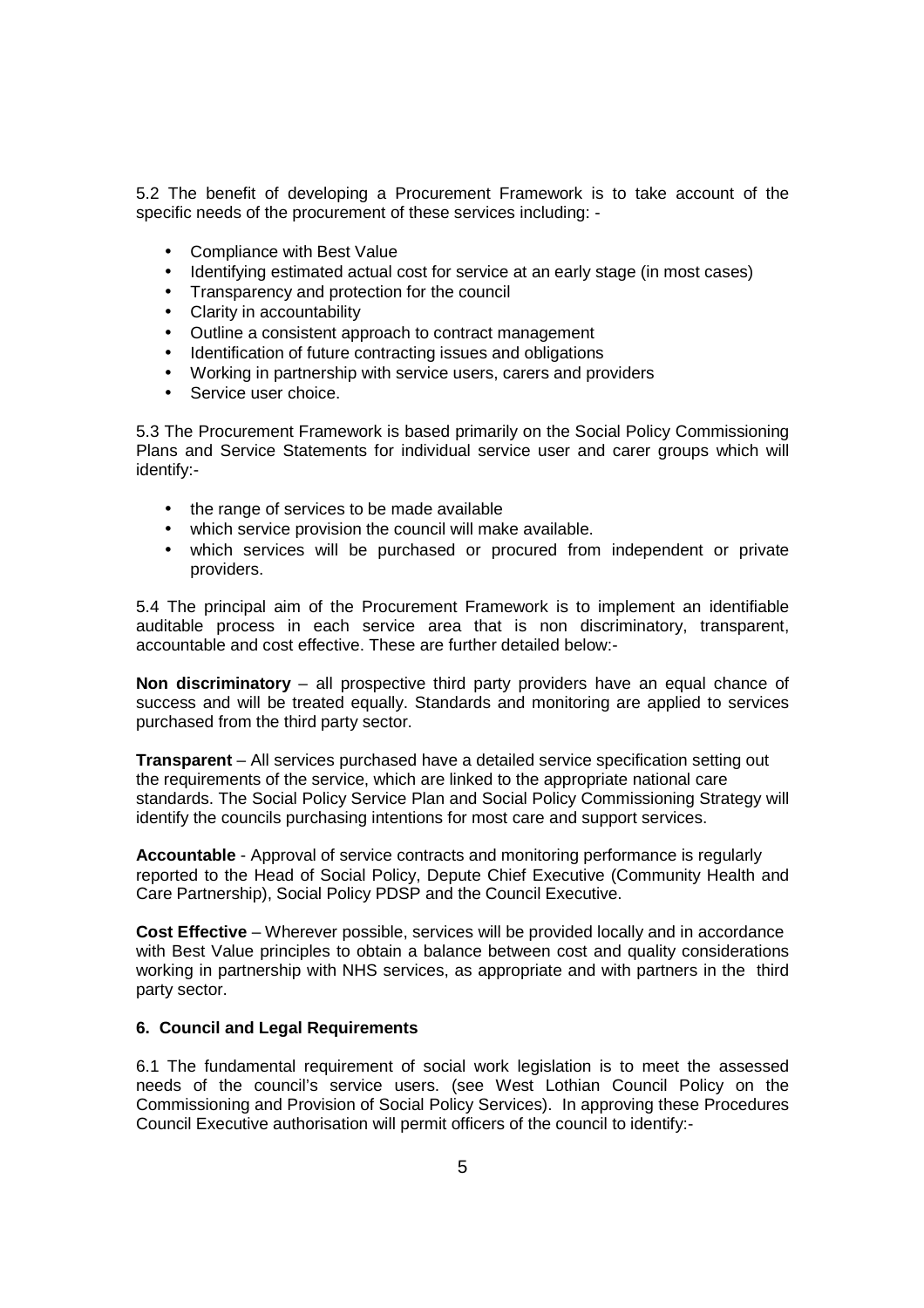5.2 The benefit of developing a Procurement Framework is to take account of the specific needs of the procurement of these services including: -

- Compliance with Best Value
- Identifying estimated actual cost for service at an early stage (in most cases)
- Transparency and protection for the council
- Clarity in accountability
- Outline a consistent approach to contract management
- Identification of future contracting issues and obligations
- Working in partnership with service users, carers and providers
- Service user choice.

5.3 The Procurement Framework is based primarily on the Social Policy Commissioning Plans and Service Statements for individual service user and carer groups which will identify:-

- the range of services to be made available
- which service provision the council will make available.
- which services will be purchased or procured from independent or private providers.

5.4 The principal aim of the Procurement Framework is to implement an identifiable auditable process in each service area that is non discriminatory, transparent, accountable and cost effective. These are further detailed below:-

**Non discriminatory** – all prospective third party providers have an equal chance of success and will be treated equally. Standards and monitoring are applied to services purchased from the third party sector.

**Transparent** – All services purchased have a detailed service specification setting out the requirements of the service, which are linked to the appropriate national care standards. The Social Policy Service Plan and Social Policy Commissioning Strategy will identify the councils purchasing intentions for most care and support services.

**Accountable** - Approval of service contracts and monitoring performance is regularly reported to the Head of Social Policy, Depute Chief Executive (Community Health and Care Partnership), Social Policy PDSP and the Council Executive.

**Cost Effective** – Wherever possible, services will be provided locally and in accordance with Best Value principles to obtain a balance between cost and quality considerations working in partnership with NHS services, as appropriate and with partners in the third party sector.

#### **6. Council and Legal Requirements**

6.1 The fundamental requirement of social work legislation is to meet the assessed needs of the council's service users. (see West Lothian Council Policy on the Commissioning and Provision of Social Policy Services). In approving these Procedures Council Executive authorisation will permit officers of the council to identify:-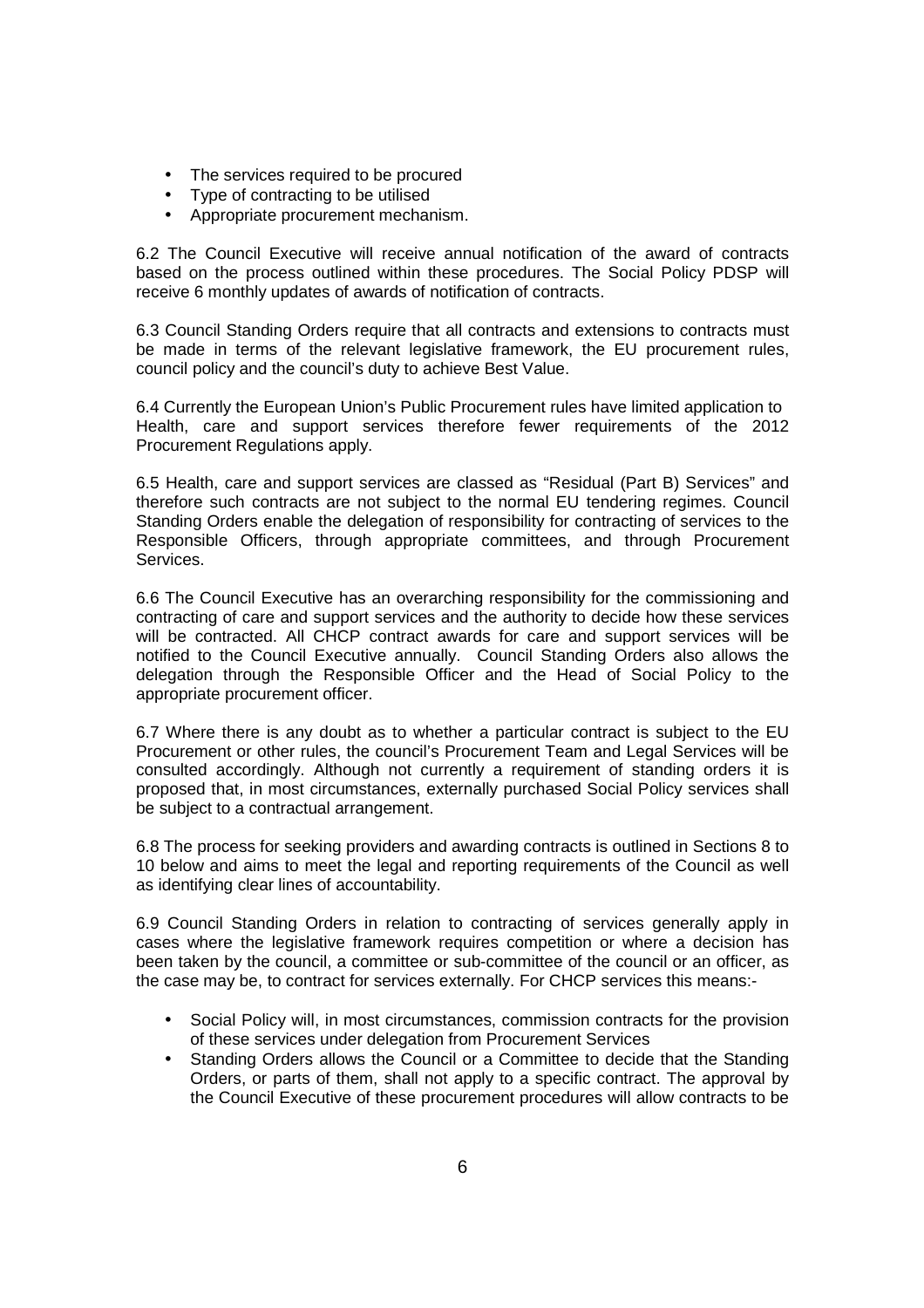- The services required to be procured
- Type of contracting to be utilised
- Appropriate procurement mechanism.

6.2 The Council Executive will receive annual notification of the award of contracts based on the process outlined within these procedures. The Social Policy PDSP will receive 6 monthly updates of awards of notification of contracts.

6.3 Council Standing Orders require that all contracts and extensions to contracts must be made in terms of the relevant legislative framework, the EU procurement rules, council policy and the council's duty to achieve Best Value.

6.4 Currently the European Union's Public Procurement rules have limited application to Health, care and support services therefore fewer requirements of the 2012 Procurement Regulations apply.

6.5 Health, care and support services are classed as "Residual (Part B) Services" and therefore such contracts are not subject to the normal EU tendering regimes. Council Standing Orders enable the delegation of responsibility for contracting of services to the Responsible Officers, through appropriate committees, and through Procurement Services.

6.6 The Council Executive has an overarching responsibility for the commissioning and contracting of care and support services and the authority to decide how these services will be contracted. All CHCP contract awards for care and support services will be notified to the Council Executive annually. Council Standing Orders also allows the delegation through the Responsible Officer and the Head of Social Policy to the appropriate procurement officer.

6.7 Where there is any doubt as to whether a particular contract is subject to the EU Procurement or other rules, the council's Procurement Team and Legal Services will be consulted accordingly. Although not currently a requirement of standing orders it is proposed that, in most circumstances, externally purchased Social Policy services shall be subject to a contractual arrangement.

6.8 The process for seeking providers and awarding contracts is outlined in Sections 8 to 10 below and aims to meet the legal and reporting requirements of the Council as well as identifying clear lines of accountability.

6.9 Council Standing Orders in relation to contracting of services generally apply in cases where the legislative framework requires competition or where a decision has been taken by the council, a committee or sub-committee of the council or an officer, as the case may be, to contract for services externally. For CHCP services this means:-

- Social Policy will, in most circumstances, commission contracts for the provision of these services under delegation from Procurement Services
- Standing Orders allows the Council or a Committee to decide that the Standing Orders, or parts of them, shall not apply to a specific contract. The approval by the Council Executive of these procurement procedures will allow contracts to be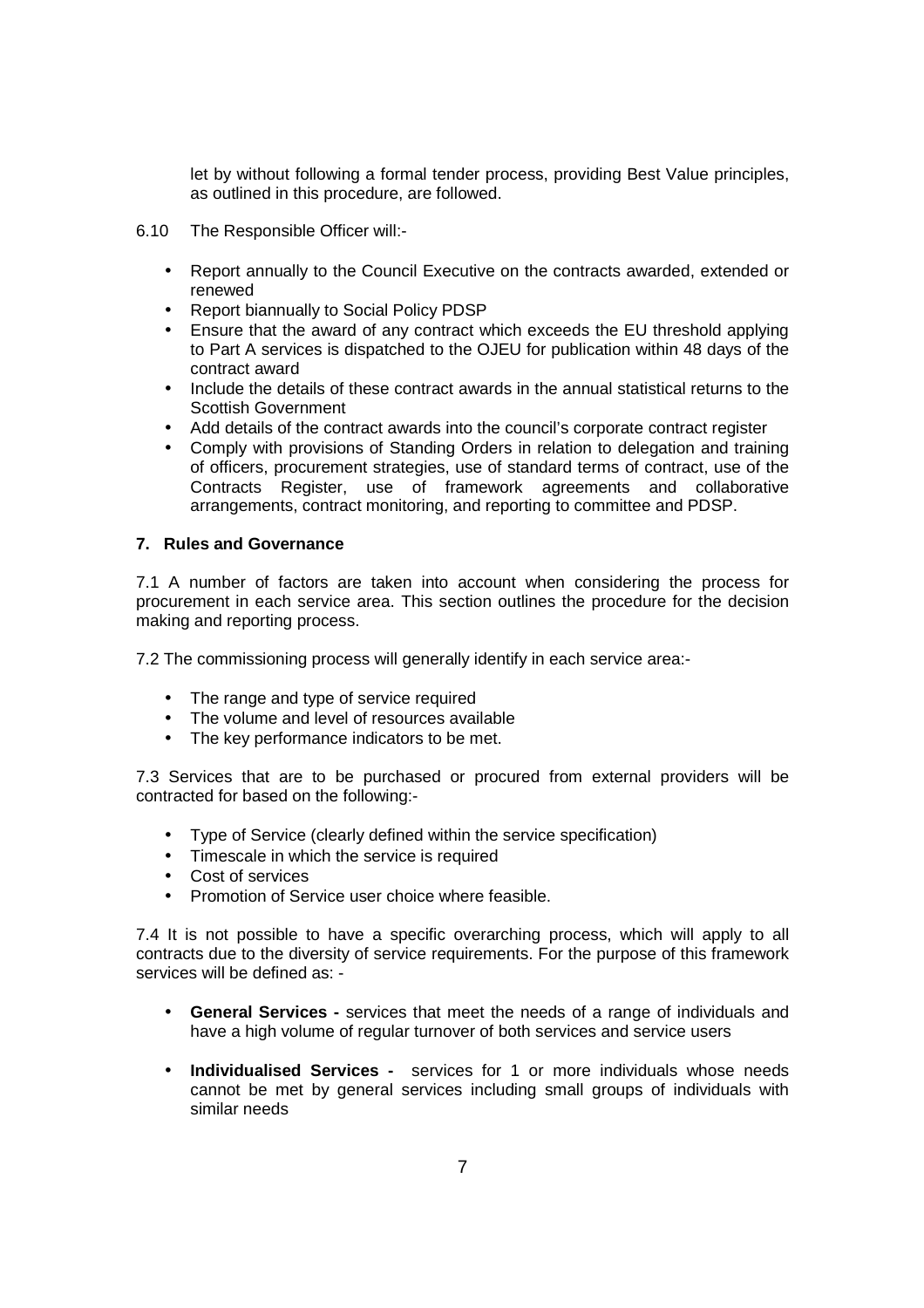let by without following a formal tender process, providing Best Value principles, as outlined in this procedure, are followed.

- 6.10 The Responsible Officer will:-
	- Report annually to the Council Executive on the contracts awarded, extended or renewed
	- Report biannually to Social Policy PDSP
	- Ensure that the award of any contract which exceeds the EU threshold applying to Part A services is dispatched to the OJEU for publication within 48 days of the contract award
	- Include the details of these contract awards in the annual statistical returns to the Scottish Government
	- Add details of the contract awards into the council's corporate contract register
	- Comply with provisions of Standing Orders in relation to delegation and training of officers, procurement strategies, use of standard terms of contract, use of the Contracts Register, use of framework agreements and collaborative arrangements, contract monitoring, and reporting to committee and PDSP.

#### **7. Rules and Governance**

7.1 A number of factors are taken into account when considering the process for procurement in each service area. This section outlines the procedure for the decision making and reporting process.

7.2 The commissioning process will generally identify in each service area:-

- The range and type of service required
- The volume and level of resources available
- The key performance indicators to be met.

7.3 Services that are to be purchased or procured from external providers will be contracted for based on the following:-

- Type of Service (clearly defined within the service specification)
- Timescale in which the service is required
- Cost of services
- Promotion of Service user choice where feasible.

7.4 It is not possible to have a specific overarching process, which will apply to all contracts due to the diversity of service requirements. For the purpose of this framework services will be defined as: -

- **General Services** services that meet the needs of a range of individuals and have a high volume of regular turnover of both services and service users
- **Individualised Services** services for 1 or more individuals whose needs cannot be met by general services including small groups of individuals with similar needs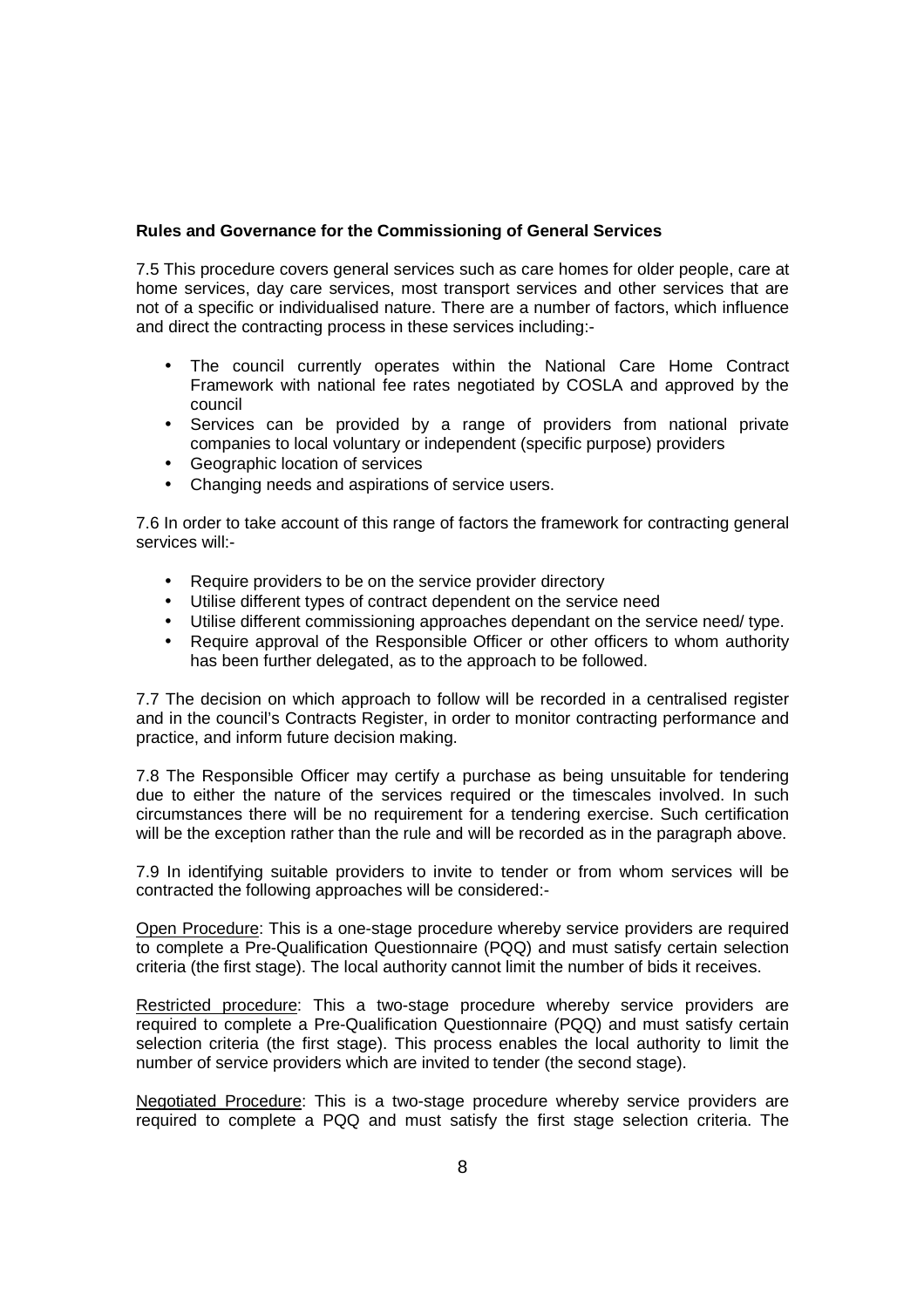#### **Rules and Governance for the Commissioning of General Services**

7.5 This procedure covers general services such as care homes for older people, care at home services, day care services, most transport services and other services that are not of a specific or individualised nature. There are a number of factors, which influence and direct the contracting process in these services including:-

- The council currently operates within the National Care Home Contract Framework with national fee rates negotiated by COSLA and approved by the council
- Services can be provided by a range of providers from national private companies to local voluntary or independent (specific purpose) providers
- Geographic location of services
- Changing needs and aspirations of service users.

7.6 In order to take account of this range of factors the framework for contracting general services will:-

- Require providers to be on the service provider directory
- Utilise different types of contract dependent on the service need
- Utilise different commissioning approaches dependant on the service need/ type.
- Require approval of the Responsible Officer or other officers to whom authority has been further delegated, as to the approach to be followed.

7.7 The decision on which approach to follow will be recorded in a centralised register and in the council's Contracts Register, in order to monitor contracting performance and practice, and inform future decision making.

7.8 The Responsible Officer may certify a purchase as being unsuitable for tendering due to either the nature of the services required or the timescales involved. In such circumstances there will be no requirement for a tendering exercise. Such certification will be the exception rather than the rule and will be recorded as in the paragraph above.

7.9 In identifying suitable providers to invite to tender or from whom services will be contracted the following approaches will be considered:-

Open Procedure: This is a one-stage procedure whereby service providers are required to complete a Pre-Qualification Questionnaire (PQQ) and must satisfy certain selection criteria (the first stage). The local authority cannot limit the number of bids it receives.

Restricted procedure: This a two-stage procedure whereby service providers are required to complete a Pre-Qualification Questionnaire (PQQ) and must satisfy certain selection criteria (the first stage). This process enables the local authority to limit the number of service providers which are invited to tender (the second stage).

Negotiated Procedure: This is a two-stage procedure whereby service providers are required to complete a PQQ and must satisfy the first stage selection criteria. The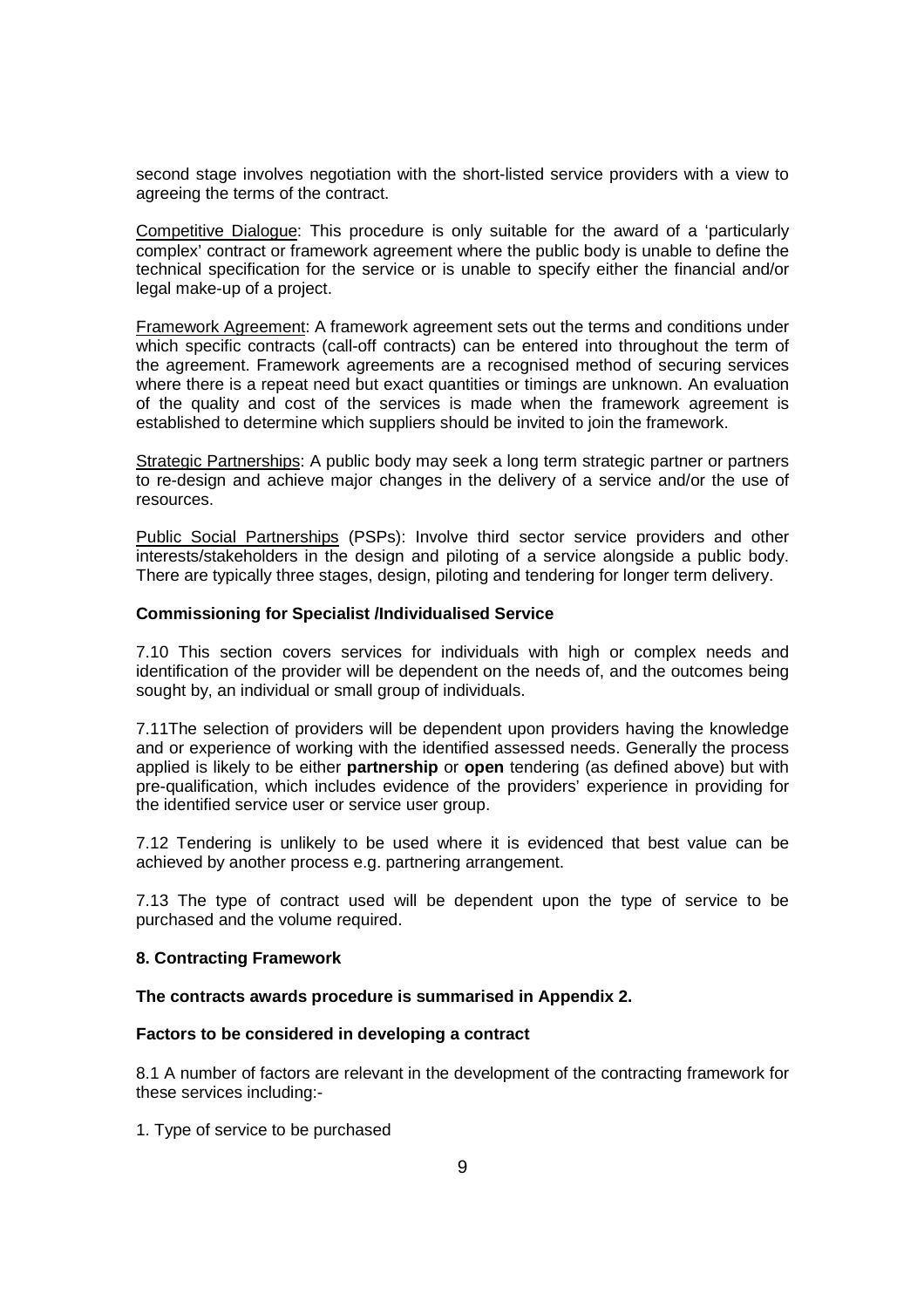second stage involves negotiation with the short-listed service providers with a view to agreeing the terms of the contract.

Competitive Dialogue: This procedure is only suitable for the award of a 'particularly complex' contract or framework agreement where the public body is unable to define the technical specification for the service or is unable to specify either the financial and/or legal make-up of a project.

Framework Agreement: A framework agreement sets out the terms and conditions under which specific contracts (call-off contracts) can be entered into throughout the term of the agreement. Framework agreements are a recognised method of securing services where there is a repeat need but exact quantities or timings are unknown. An evaluation of the quality and cost of the services is made when the framework agreement is established to determine which suppliers should be invited to join the framework.

Strategic Partnerships: A public body may seek a long term strategic partner or partners to re-design and achieve major changes in the delivery of a service and/or the use of resources.

Public Social Partnerships (PSPs): Involve third sector service providers and other interests/stakeholders in the design and piloting of a service alongside a public body. There are typically three stages, design, piloting and tendering for longer term delivery.

#### **Commissioning for Specialist /Individualised Service**

7.10 This section covers services for individuals with high or complex needs and identification of the provider will be dependent on the needs of, and the outcomes being sought by, an individual or small group of individuals.

7.11The selection of providers will be dependent upon providers having the knowledge and or experience of working with the identified assessed needs. Generally the process applied is likely to be either **partnership** or **open** tendering (as defined above) but with pre-qualification, which includes evidence of the providers' experience in providing for the identified service user or service user group.

7.12 Tendering is unlikely to be used where it is evidenced that best value can be achieved by another process e.g. partnering arrangement.

7.13 The type of contract used will be dependent upon the type of service to be purchased and the volume required.

#### **8. Contracting Framework**

#### **The contracts awards procedure is summarised in Appendix 2.**

#### **Factors to be considered in developing a contract**

8.1 A number of factors are relevant in the development of the contracting framework for these services including:-

1. Type of service to be purchased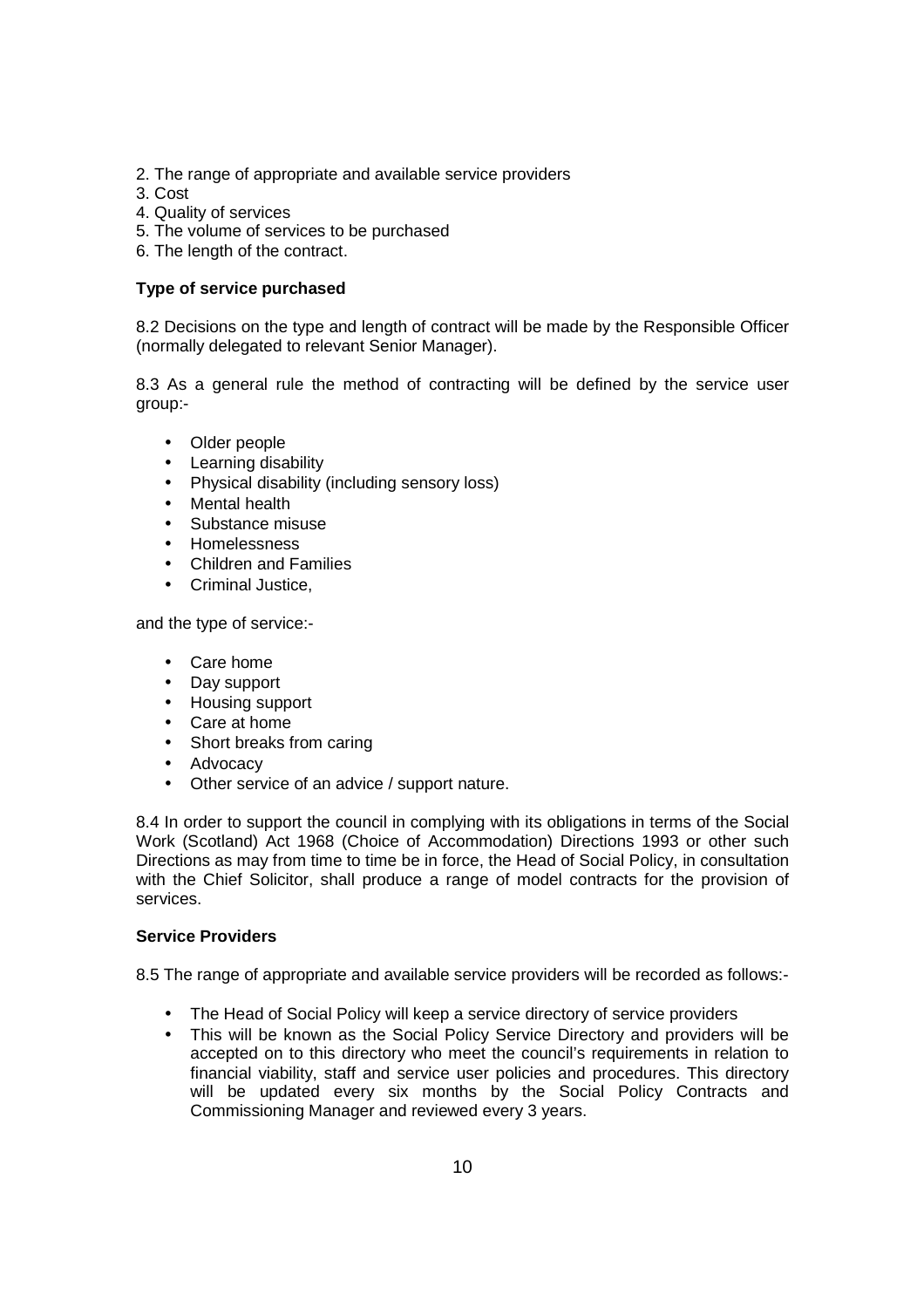- 2. The range of appropriate and available service providers
- 3. Cost
- 4. Quality of services
- 5. The volume of services to be purchased
- 6. The length of the contract.

#### **Type of service purchased**

8.2 Decisions on the type and length of contract will be made by the Responsible Officer (normally delegated to relevant Senior Manager).

8.3 As a general rule the method of contracting will be defined by the service user group:-

- Older people
- Learning disability
- Physical disability (including sensory loss)
- Mental health
- Substance misuse
- Homelessness
- Children and Families
- Criminal Justice,

and the type of service:-

- Care home
- Day support
- Housing support
- Care at home
- Short breaks from caring
- Advocacy
- Other service of an advice / support nature.

8.4 In order to support the council in complying with its obligations in terms of the Social Work (Scotland) Act 1968 (Choice of Accommodation) Directions 1993 or other such Directions as may from time to time be in force, the Head of Social Policy, in consultation with the Chief Solicitor, shall produce a range of model contracts for the provision of services.

#### **Service Providers**

8.5 The range of appropriate and available service providers will be recorded as follows:-

- The Head of Social Policy will keep a service directory of service providers
- This will be known as the Social Policy Service Directory and providers will be accepted on to this directory who meet the council's requirements in relation to financial viability, staff and service user policies and procedures. This directory will be updated every six months by the Social Policy Contracts and Commissioning Manager and reviewed every 3 years.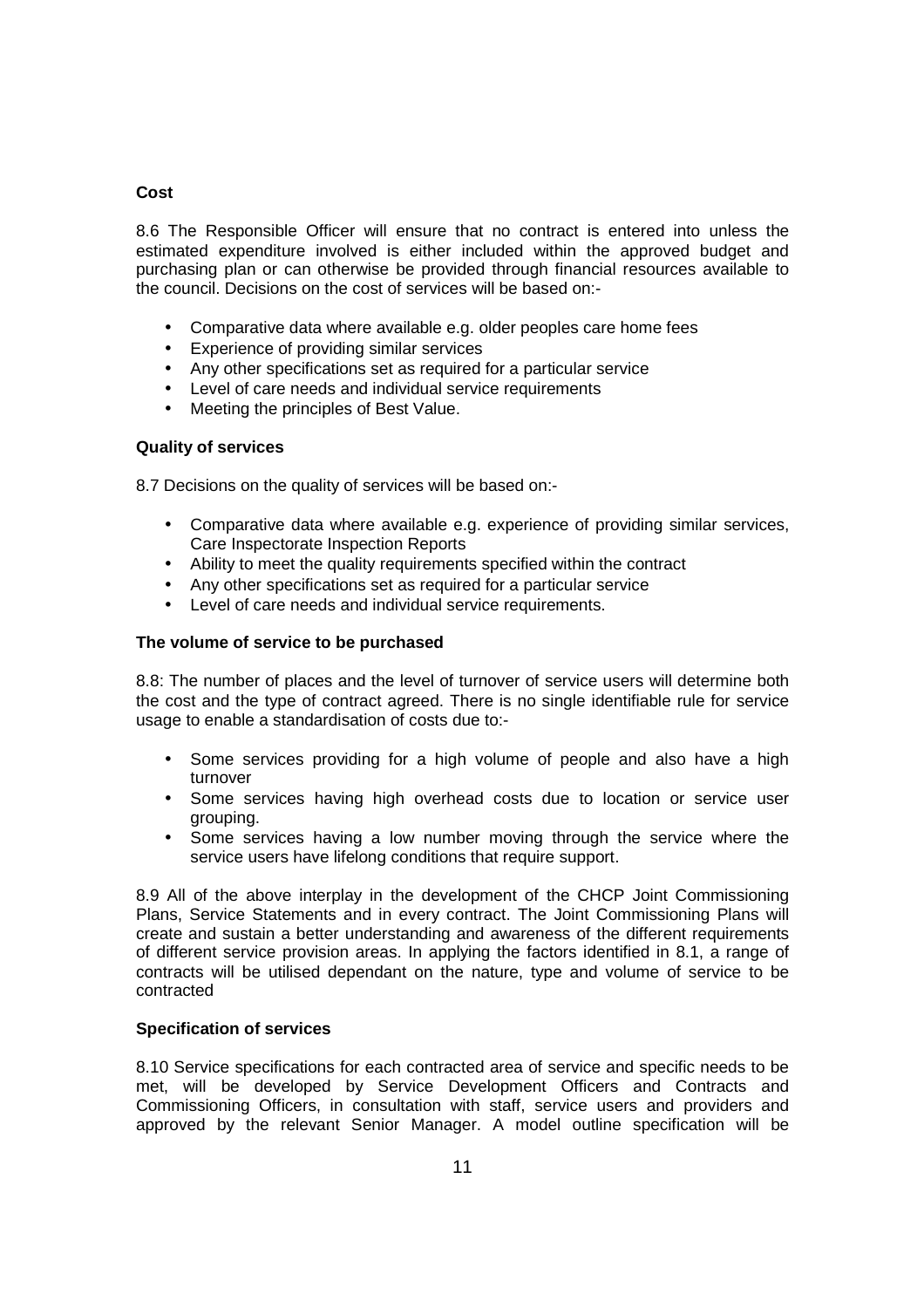#### **Cost**

8.6 The Responsible Officer will ensure that no contract is entered into unless the estimated expenditure involved is either included within the approved budget and purchasing plan or can otherwise be provided through financial resources available to the council. Decisions on the cost of services will be based on:-

- Comparative data where available e.g. older peoples care home fees
- Experience of providing similar services
- Any other specifications set as required for a particular service
- Level of care needs and individual service requirements
- Meeting the principles of Best Value.

#### **Quality of services**

8.7 Decisions on the quality of services will be based on:-

- Comparative data where available e.g. experience of providing similar services, Care Inspectorate Inspection Reports
- Ability to meet the quality requirements specified within the contract
- Any other specifications set as required for a particular service
- Level of care needs and individual service requirements.

#### **The volume of service to be purchased**

8.8: The number of places and the level of turnover of service users will determine both the cost and the type of contract agreed. There is no single identifiable rule for service usage to enable a standardisation of costs due to:-

- Some services providing for a high volume of people and also have a high turnover
- Some services having high overhead costs due to location or service user grouping.
- Some services having a low number moving through the service where the service users have lifelong conditions that require support.

8.9 All of the above interplay in the development of the CHCP Joint Commissioning Plans, Service Statements and in every contract. The Joint Commissioning Plans will create and sustain a better understanding and awareness of the different requirements of different service provision areas. In applying the factors identified in 8.1, a range of contracts will be utilised dependant on the nature, type and volume of service to be contracted

#### **Specification of services**

8.10 Service specifications for each contracted area of service and specific needs to be met, will be developed by Service Development Officers and Contracts and Commissioning Officers, in consultation with staff, service users and providers and approved by the relevant Senior Manager. A model outline specification will be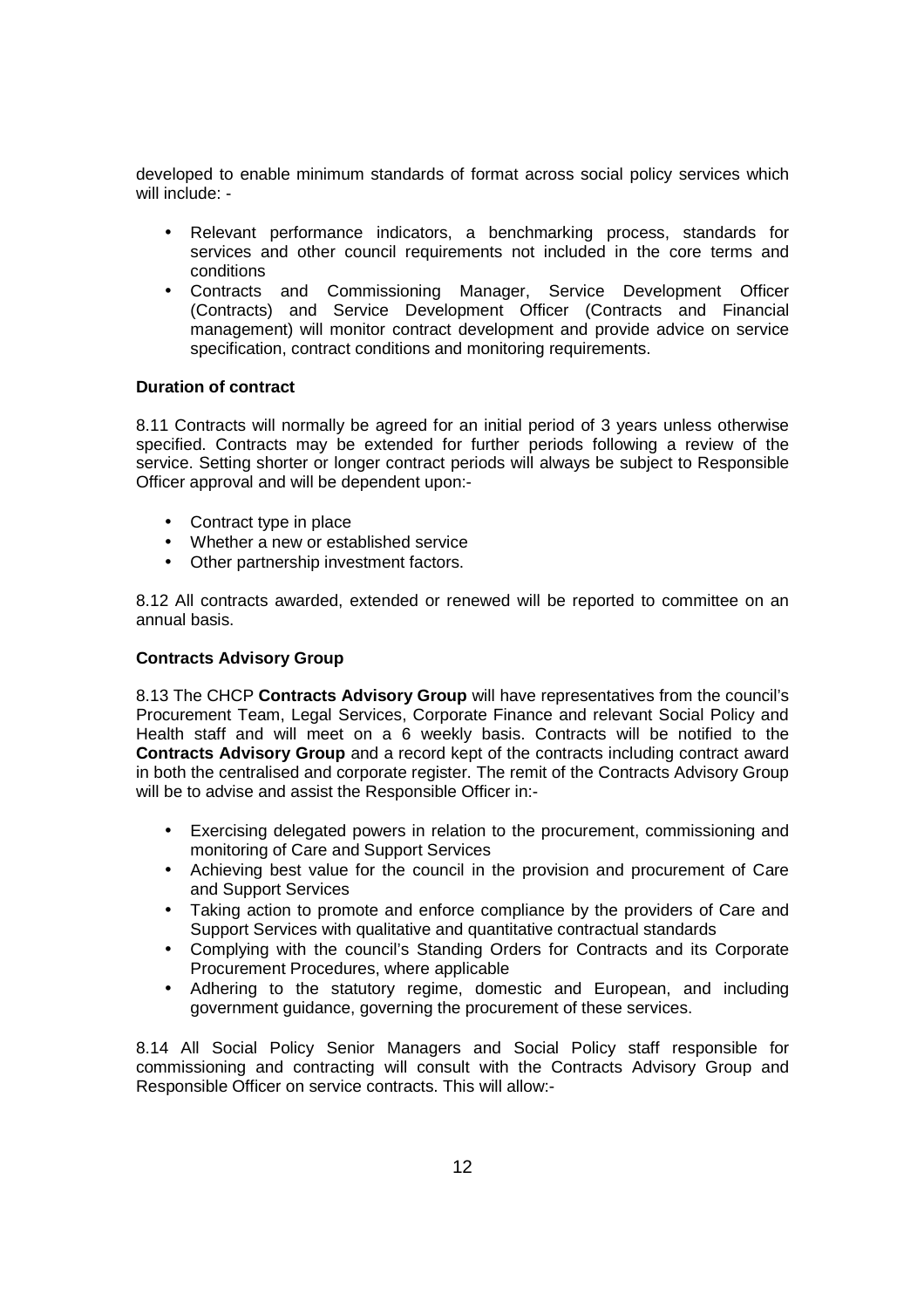developed to enable minimum standards of format across social policy services which will include: -

- Relevant performance indicators, a benchmarking process, standards for services and other council requirements not included in the core terms and conditions
- Contracts and Commissioning Manager, Service Development Officer (Contracts) and Service Development Officer (Contracts and Financial management) will monitor contract development and provide advice on service specification, contract conditions and monitoring requirements.

#### **Duration of contract**

8.11 Contracts will normally be agreed for an initial period of 3 years unless otherwise specified. Contracts may be extended for further periods following a review of the service. Setting shorter or longer contract periods will always be subject to Responsible Officer approval and will be dependent upon:-

- Contract type in place
- Whether a new or established service
- Other partnership investment factors.

8.12 All contracts awarded, extended or renewed will be reported to committee on an annual basis.

#### **Contracts Advisory Group**

8.13 The CHCP **Contracts Advisory Group** will have representatives from the council's Procurement Team, Legal Services, Corporate Finance and relevant Social Policy and Health staff and will meet on a 6 weekly basis. Contracts will be notified to the **Contracts Advisory Group** and a record kept of the contracts including contract award in both the centralised and corporate register. The remit of the Contracts Advisory Group will be to advise and assist the Responsible Officer in:-

- Exercising delegated powers in relation to the procurement, commissioning and monitoring of Care and Support Services
- Achieving best value for the council in the provision and procurement of Care and Support Services
- Taking action to promote and enforce compliance by the providers of Care and Support Services with qualitative and quantitative contractual standards
- Complying with the council's Standing Orders for Contracts and its Corporate Procurement Procedures, where applicable
- Adhering to the statutory regime, domestic and European, and including government guidance, governing the procurement of these services.

8.14 All Social Policy Senior Managers and Social Policy staff responsible for commissioning and contracting will consult with the Contracts Advisory Group and Responsible Officer on service contracts. This will allow:-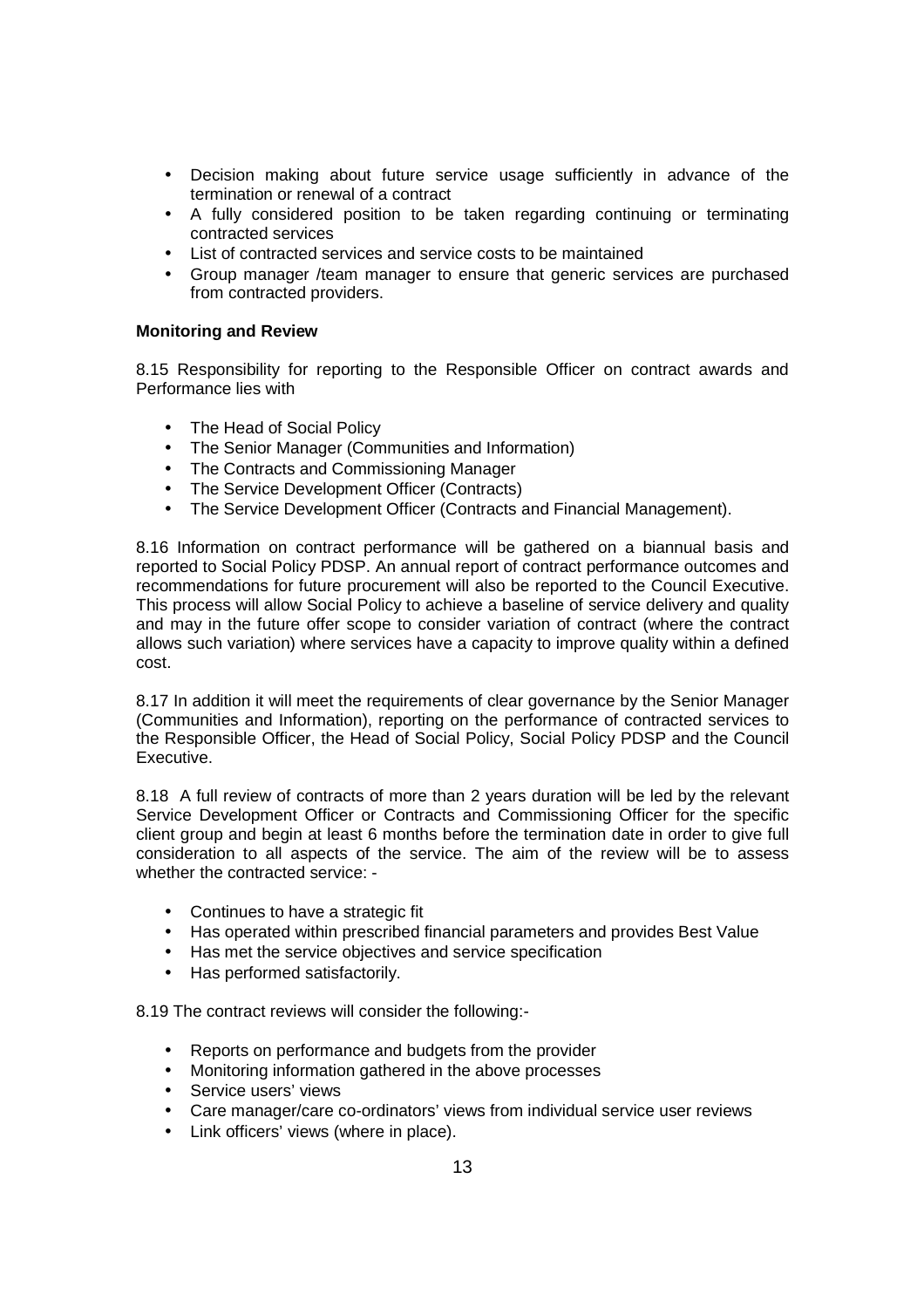- Decision making about future service usage sufficiently in advance of the termination or renewal of a contract
- A fully considered position to be taken regarding continuing or terminating contracted services
- List of contracted services and service costs to be maintained
- Group manager /team manager to ensure that generic services are purchased from contracted providers.

#### **Monitoring and Review**

8.15 Responsibility for reporting to the Responsible Officer on contract awards and Performance lies with

- The Head of Social Policy
- The Senior Manager (Communities and Information)
- The Contracts and Commissioning Manager
- The Service Development Officer (Contracts)
- The Service Development Officer (Contracts and Financial Management).

8.16 Information on contract performance will be gathered on a biannual basis and reported to Social Policy PDSP. An annual report of contract performance outcomes and recommendations for future procurement will also be reported to the Council Executive. This process will allow Social Policy to achieve a baseline of service delivery and quality and may in the future offer scope to consider variation of contract (where the contract allows such variation) where services have a capacity to improve quality within a defined cost.

8.17 In addition it will meet the requirements of clear governance by the Senior Manager (Communities and Information), reporting on the performance of contracted services to the Responsible Officer, the Head of Social Policy, Social Policy PDSP and the Council Executive.

8.18 A full review of contracts of more than 2 years duration will be led by the relevant Service Development Officer or Contracts and Commissioning Officer for the specific client group and begin at least 6 months before the termination date in order to give full consideration to all aspects of the service. The aim of the review will be to assess whether the contracted service: -

- Continues to have a strategic fit
- Has operated within prescribed financial parameters and provides Best Value
- Has met the service objectives and service specification
- Has performed satisfactorily.

8.19 The contract reviews will consider the following:-

- Reports on performance and budgets from the provider
- Monitoring information gathered in the above processes
- Service users' views
- Care manager/care co-ordinators' views from individual service user reviews
- Link officers' views (where in place).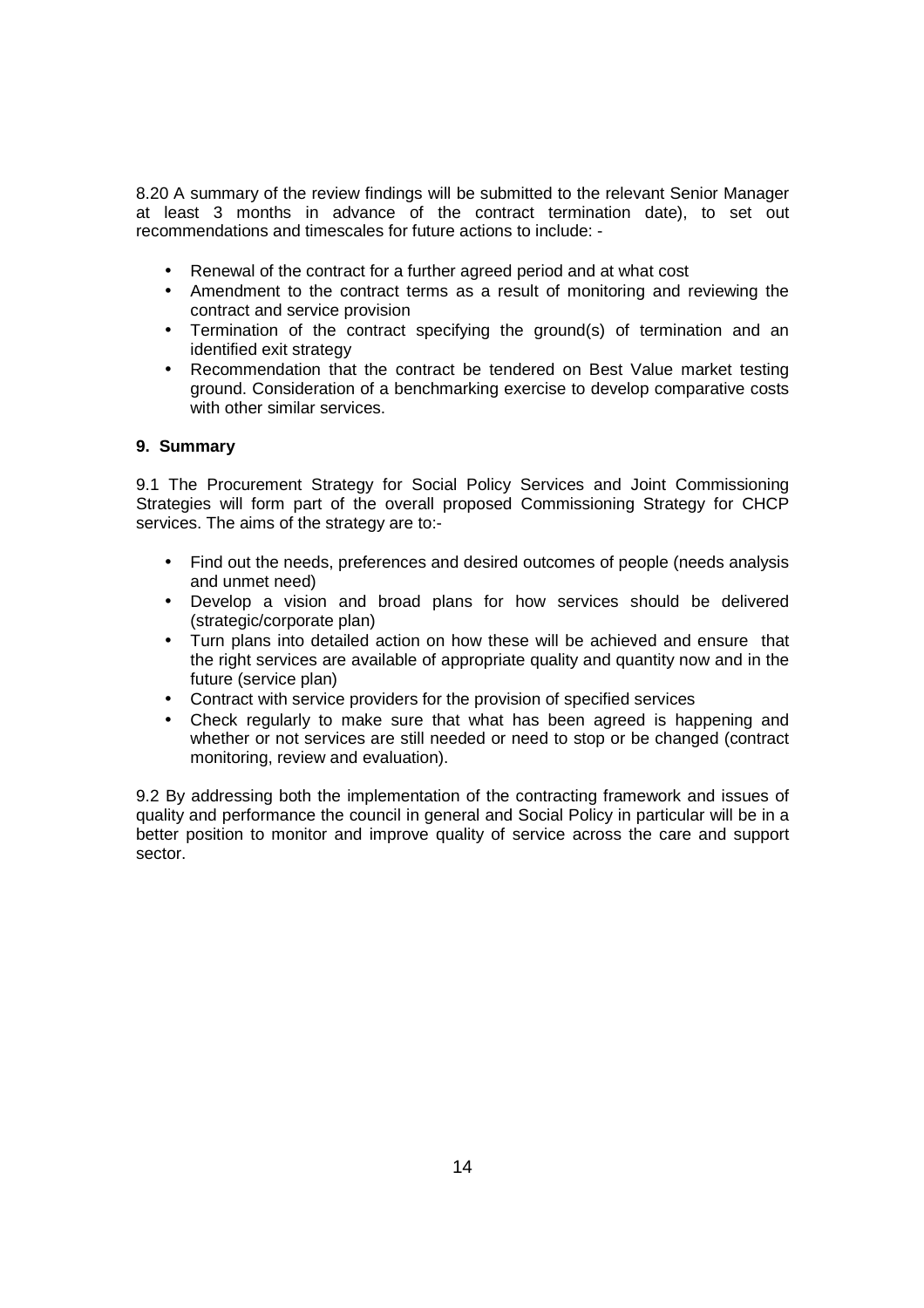8.20 A summary of the review findings will be submitted to the relevant Senior Manager at least 3 months in advance of the contract termination date), to set out recommendations and timescales for future actions to include: -

- Renewal of the contract for a further agreed period and at what cost
- Amendment to the contract terms as a result of monitoring and reviewing the contract and service provision
- Termination of the contract specifying the ground(s) of termination and an identified exit strategy
- Recommendation that the contract be tendered on Best Value market testing ground. Consideration of a benchmarking exercise to develop comparative costs with other similar services.

#### **9. Summary**

9.1 The Procurement Strategy for Social Policy Services and Joint Commissioning Strategies will form part of the overall proposed Commissioning Strategy for CHCP services. The aims of the strategy are to:-

- Find out the needs, preferences and desired outcomes of people (needs analysis and unmet need)
- Develop a vision and broad plans for how services should be delivered (strategic/corporate plan)
- Turn plans into detailed action on how these will be achieved and ensure that the right services are available of appropriate quality and quantity now and in the future (service plan)
- Contract with service providers for the provision of specified services
- Check regularly to make sure that what has been agreed is happening and whether or not services are still needed or need to stop or be changed (contract monitoring, review and evaluation).

9.2 By addressing both the implementation of the contracting framework and issues of quality and performance the council in general and Social Policy in particular will be in a better position to monitor and improve quality of service across the care and support sector.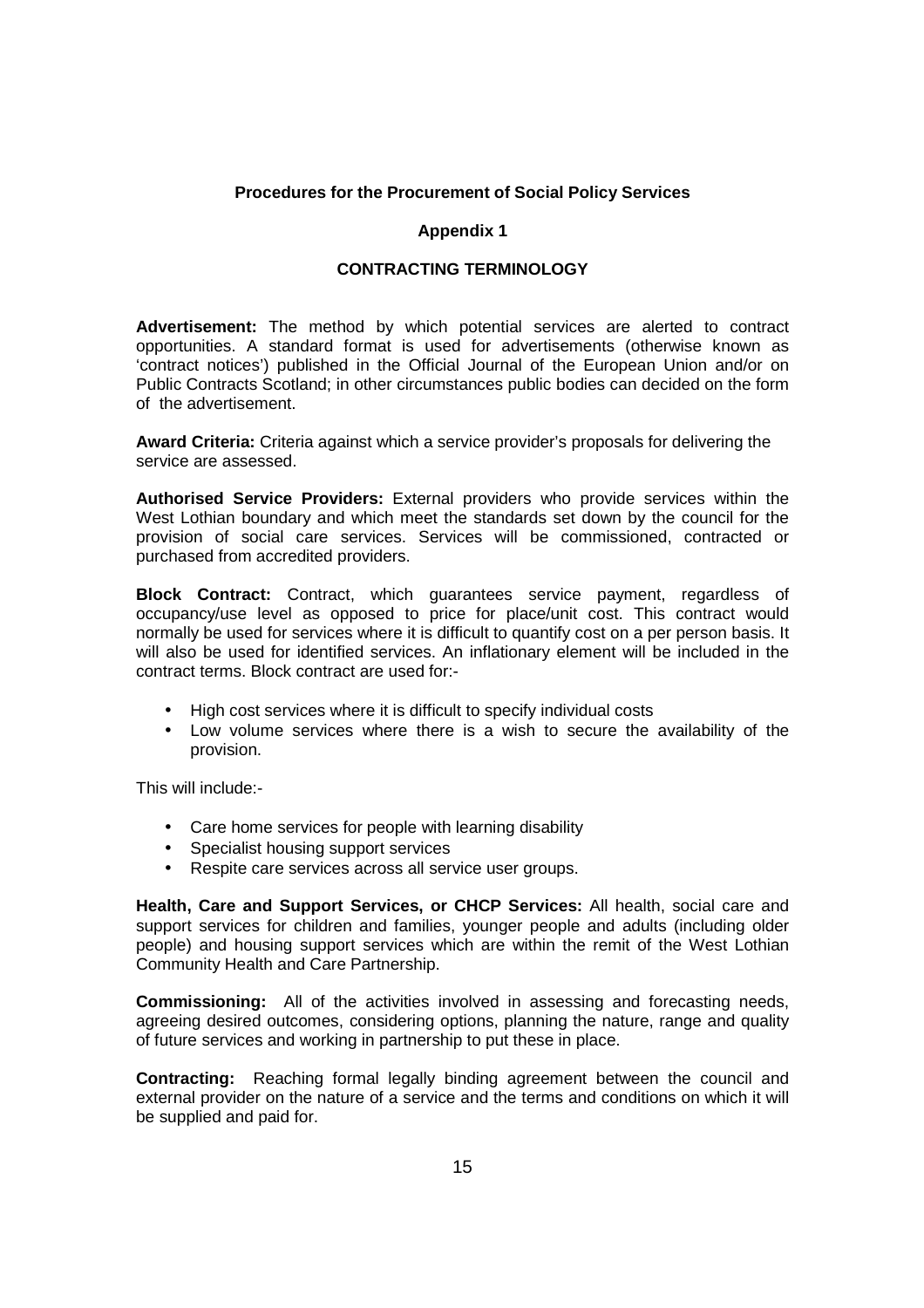#### **Procedures for the Procurement of Social Policy Services**

#### **Appendix 1**

#### **CONTRACTING TERMINOLOGY**

**Advertisement:** The method by which potential services are alerted to contract opportunities. A standard format is used for advertisements (otherwise known as 'contract notices') published in the Official Journal of the European Union and/or on Public Contracts Scotland; in other circumstances public bodies can decided on the form of the advertisement.

**Award Criteria:** Criteria against which a service provider's proposals for delivering the service are assessed.

**Authorised Service Providers:** External providers who provide services within the West Lothian boundary and which meet the standards set down by the council for the provision of social care services. Services will be commissioned, contracted or purchased from accredited providers.

**Block Contract:** Contract, which guarantees service payment, regardless of occupancy/use level as opposed to price for place/unit cost. This contract would normally be used for services where it is difficult to quantify cost on a per person basis. It will also be used for identified services. An inflationary element will be included in the contract terms. Block contract are used for:-

- High cost services where it is difficult to specify individual costs
- Low volume services where there is a wish to secure the availability of the provision.

This will include:-

- Care home services for people with learning disability
- Specialist housing support services
- Respite care services across all service user groups.

**Health, Care and Support Services, or CHCP Services:** All health, social care and support services for children and families, younger people and adults (including older people) and housing support services which are within the remit of the West Lothian Community Health and Care Partnership.

**Commissioning:** All of the activities involved in assessing and forecasting needs, agreeing desired outcomes, considering options, planning the nature, range and quality of future services and working in partnership to put these in place.

**Contracting:** Reaching formal legally binding agreement between the council and external provider on the nature of a service and the terms and conditions on which it will be supplied and paid for.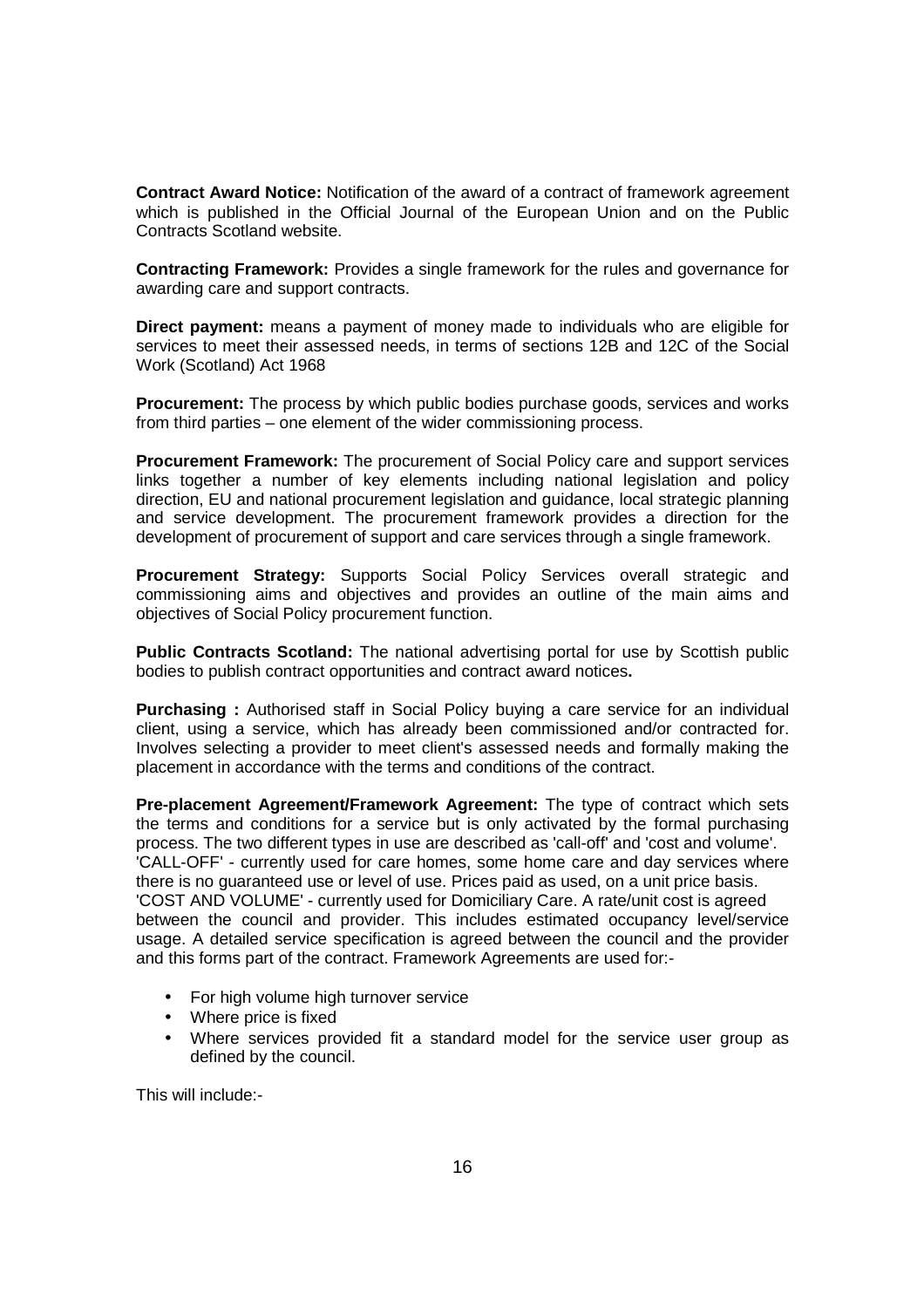**Contract Award Notice:** Notification of the award of a contract of framework agreement which is published in the Official Journal of the European Union and on the Public Contracts Scotland website.

**Contracting Framework:** Provides a single framework for the rules and governance for awarding care and support contracts.

**Direct payment:** means a payment of money made to individuals who are eligible for services to meet their assessed needs, in terms of sections 12B and 12C of the Social Work (Scotland) Act 1968

**Procurement:** The process by which public bodies purchase goods, services and works from third parties – one element of the wider commissioning process.

**Procurement Framework:** The procurement of Social Policy care and support services links together a number of key elements including national legislation and policy direction, EU and national procurement legislation and guidance, local strategic planning and service development. The procurement framework provides a direction for the development of procurement of support and care services through a single framework.

**Procurement Strategy:** Supports Social Policy Services overall strategic and commissioning aims and objectives and provides an outline of the main aims and objectives of Social Policy procurement function.

**Public Contracts Scotland:** The national advertising portal for use by Scottish public bodies to publish contract opportunities and contract award notices**.** 

**Purchasing :** Authorised staff in Social Policy buying a care service for an individual client, using a service, which has already been commissioned and/or contracted for. Involves selecting a provider to meet client's assessed needs and formally making the placement in accordance with the terms and conditions of the contract.

**Pre-placement Agreement/Framework Agreement:** The type of contract which sets the terms and conditions for a service but is only activated by the formal purchasing process. The two different types in use are described as 'call-off' and 'cost and volume'. 'CALL-OFF' - currently used for care homes, some home care and day services where there is no guaranteed use or level of use. Prices paid as used, on a unit price basis. 'COST AND VOLUME' - currently used for Domiciliary Care. A rate/unit cost is agreed between the council and provider. This includes estimated occupancy level/service usage. A detailed service specification is agreed between the council and the provider and this forms part of the contract. Framework Agreements are used for:-

- For high volume high turnover service
- Where price is fixed
- Where services provided fit a standard model for the service user group as defined by the council.

This will include:-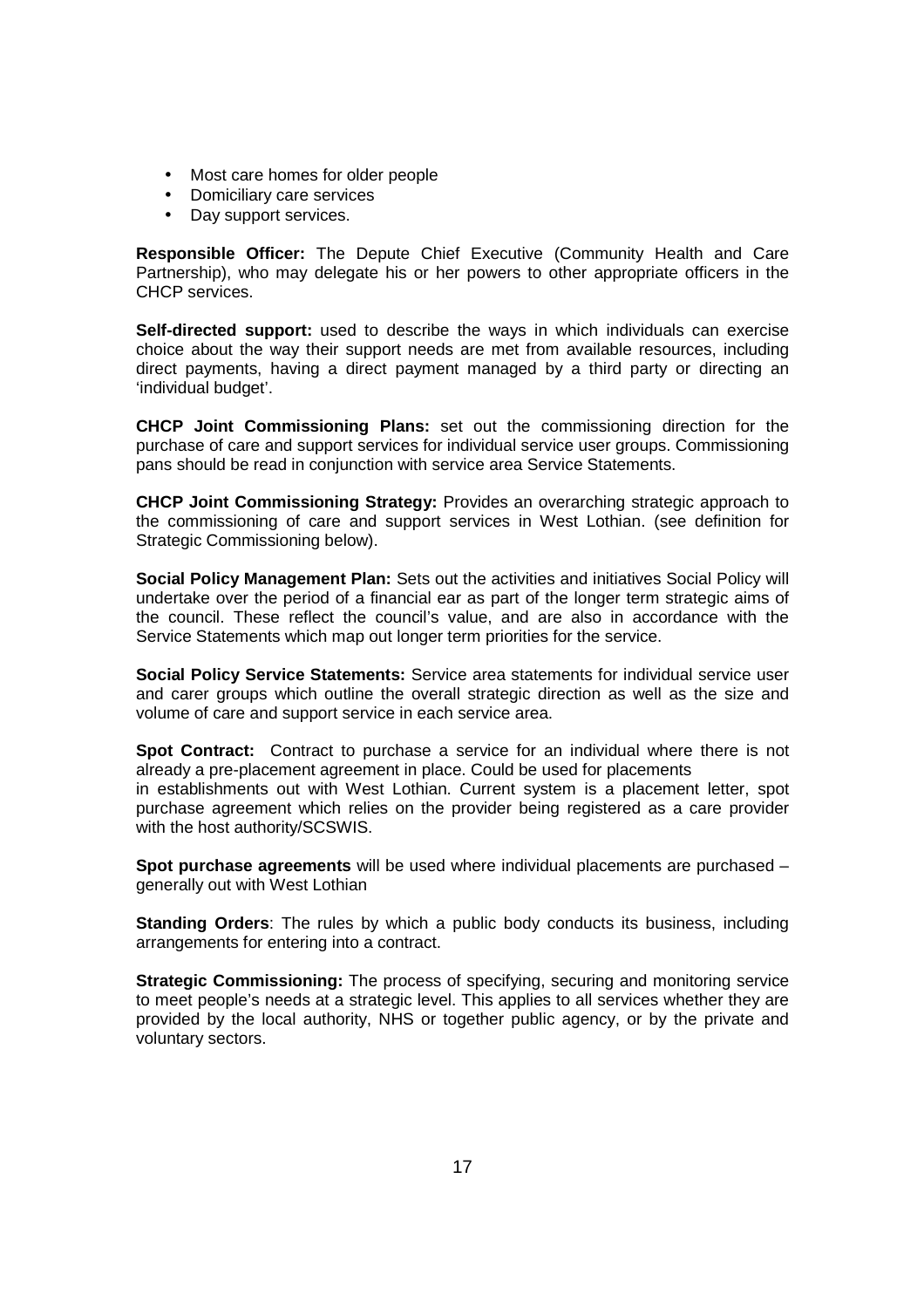- Most care homes for older people
- Domiciliary care services
- Day support services.

**Responsible Officer:** The Depute Chief Executive (Community Health and Care Partnership), who may delegate his or her powers to other appropriate officers in the CHCP services.

**Self-directed support:** used to describe the ways in which individuals can exercise choice about the way their support needs are met from available resources, including direct payments, having a direct payment managed by a third party or directing an 'individual budget'.

**CHCP Joint Commissioning Plans:** set out the commissioning direction for the purchase of care and support services for individual service user groups. Commissioning pans should be read in conjunction with service area Service Statements.

**CHCP Joint Commissioning Strategy:** Provides an overarching strategic approach to the commissioning of care and support services in West Lothian. (see definition for Strategic Commissioning below).

**Social Policy Management Plan:** Sets out the activities and initiatives Social Policy will undertake over the period of a financial ear as part of the longer term strategic aims of the council. These reflect the council's value, and are also in accordance with the Service Statements which map out longer term priorities for the service.

**Social Policy Service Statements:** Service area statements for individual service user and carer groups which outline the overall strategic direction as well as the size and volume of care and support service in each service area.

**Spot Contract:** Contract to purchase a service for an individual where there is not already a pre-placement agreement in place. Could be used for placements in establishments out with West Lothian. Current system is a placement letter, spot purchase agreement which relies on the provider being registered as a care provider with the host authority/SCSWIS.

**Spot purchase agreements** will be used where individual placements are purchased – generally out with West Lothian

**Standing Orders**: The rules by which a public body conducts its business, including arrangements for entering into a contract.

**Strategic Commissioning:** The process of specifying, securing and monitoring service to meet people's needs at a strategic level. This applies to all services whether they are provided by the local authority, NHS or together public agency, or by the private and voluntary sectors.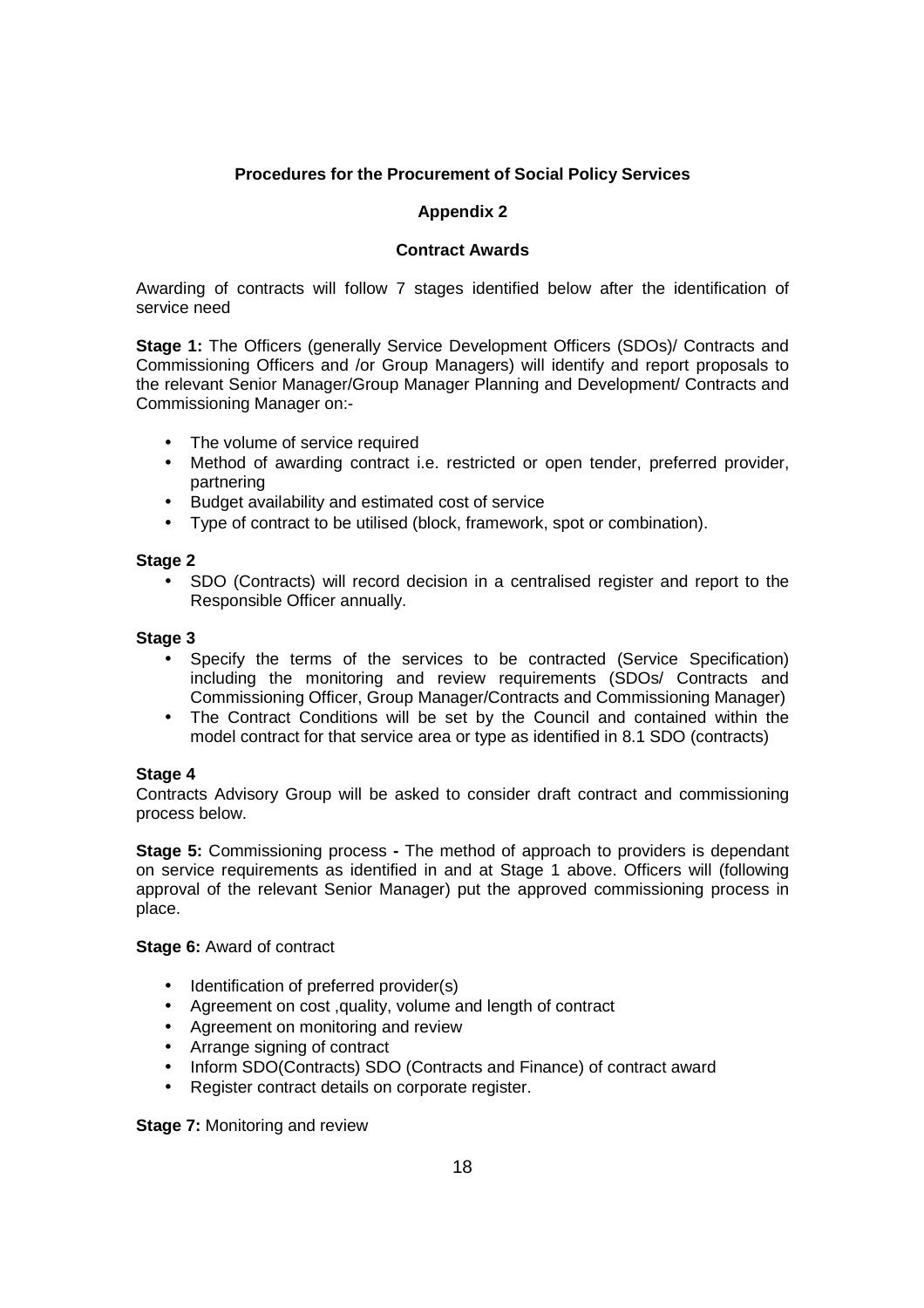# **Procedures for the Procurement of Social Policy Services**

### **Appendix 2**

#### **Contract Awards**

Awarding of contracts will follow 7 stages identified below after the identification of service need

**Stage 1:** The Officers (generally Service Development Officers (SDOs)/ Contracts and Commissioning Officers and /or Group Managers) will identify and report proposals to the relevant Senior Manager/Group Manager Planning and Development/ Contracts and Commissioning Manager on:-

- The volume of service required
- Method of awarding contract i.e. restricted or open tender, preferred provider, partnering
- Budget availability and estimated cost of service
- Type of contract to be utilised (block, framework, spot or combination).

#### **Stage 2**

• SDO (Contracts) will record decision in a centralised register and report to the Responsible Officer annually.

#### **Stage 3**

- Specify the terms of the services to be contracted (Service Specification) including the monitoring and review requirements (SDOs/ Contracts and Commissioning Officer, Group Manager/Contracts and Commissioning Manager)
- The Contract Conditions will be set by the Council and contained within the model contract for that service area or type as identified in 8.1 SDO (contracts)

#### **Stage 4**

Contracts Advisory Group will be asked to consider draft contract and commissioning process below.

**Stage 5:** Commissioning process **-** The method of approach to providers is dependant on service requirements as identified in and at Stage 1 above. Officers will (following approval of the relevant Senior Manager) put the approved commissioning process in place.

**Stage 6:** Award of contract

- Identification of preferred provider(s)
- Agreement on cost ,quality, volume and length of contract
- Agreement on monitoring and review
- Arrange signing of contract
- Inform SDO(Contracts) SDO (Contracts and Finance) of contract award
- Register contract details on corporate register.

**Stage 7: Monitoring and review**